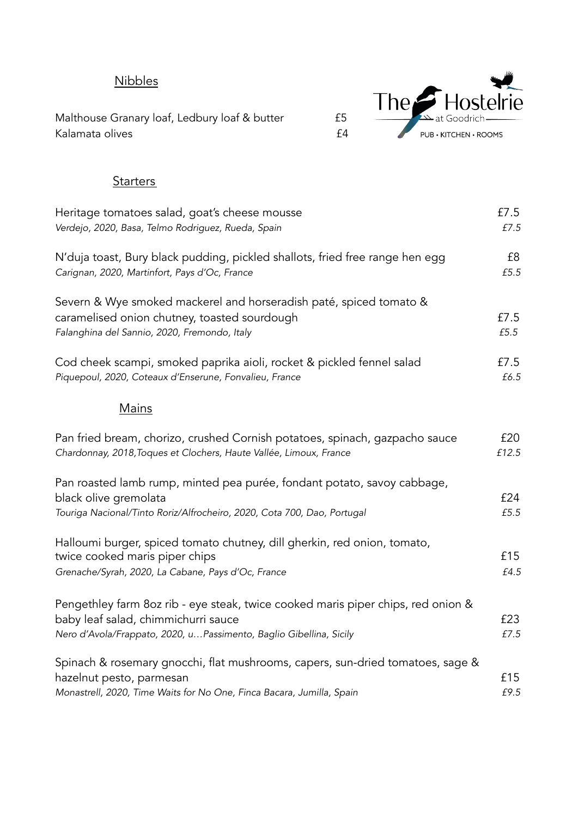## **Nibbles**

Malthouse Granary loaf, Ledbury loaf & butter F5 Kalamata olives **E4** 



## **Starters**

| Heritage tomatoes salad, goat's cheese mousse                                    | £7.5  |
|----------------------------------------------------------------------------------|-------|
| Verdejo, 2020, Basa, Telmo Rodriguez, Rueda, Spain                               | £7.5  |
| N'duja toast, Bury black pudding, pickled shallots, fried free range hen egg     | £8    |
| Carignan, 2020, Martinfort, Pays d'Oc, France                                    | £5.5  |
| Severn & Wye smoked mackerel and horseradish paté, spiced tomato &               |       |
| caramelised onion chutney, toasted sourdough                                     | £7.5  |
| Falanghina del Sannio, 2020, Fremondo, Italy                                     | £5.5  |
| Cod cheek scampi, smoked paprika aioli, rocket & pickled fennel salad            | £7.5  |
| Piquepoul, 2020, Coteaux d'Enserune, Fonvalieu, France                           | £6.5  |
| <b>Mains</b>                                                                     |       |
| Pan fried bream, chorizo, crushed Cornish potatoes, spinach, gazpacho sauce      | £20   |
| Chardonnay, 2018, Toques et Clochers, Haute Vallée, Limoux, France               | £12.5 |
| Pan roasted lamb rump, minted pea purée, fondant potato, savoy cabbage,          |       |
| black olive gremolata                                                            | £24   |
| Touriga Nacional/Tinto Roriz/Alfrocheiro, 2020, Cota 700, Dao, Portugal          | £5.5  |
| Halloumi burger, spiced tomato chutney, dill gherkin, red onion, tomato,         |       |
| twice cooked maris piper chips                                                   | £15   |
| Grenache/Syrah, 2020, La Cabane, Pays d'Oc, France                               | £4.5  |
| Pengethley farm 8oz rib - eye steak, twice cooked maris piper chips, red onion & |       |
| baby leaf salad, chimmichurri sauce                                              | £23   |
| Nero d'Avola/Frappato, 2020, uPassimento, Baglio Gibellina, Sicily               | £7.5  |
| Spinach & rosemary gnocchi, flat mushrooms, capers, sun-dried tomatoes, sage &   |       |
| hazelnut pesto, parmesan                                                         | £15   |
| Monastrell, 2020, Time Waits for No One, Finca Bacara, Jumilla, Spain            | £9.5  |